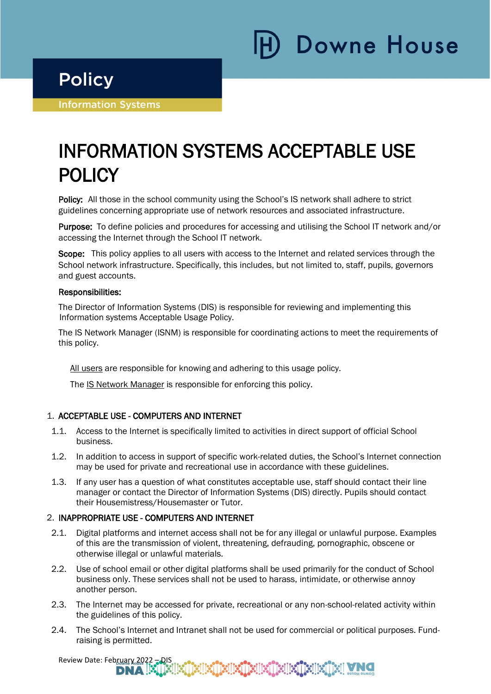# **Downe House**

### **Policy**

i

Ī

**Information Systems** 

## INFORMATION SYSTEMS ACCEPTABLE USE POLICY

Policy: All those in the school community using the School's IS network shall adhere to strict guidelines concerning appropriate use of network resources and associated infrastructure.

Purpose: To define policies and procedures for accessing and utilising the School IT network and/or accessing the Internet through the School IT network.

Scope: This policy applies to all users with access to the Internet and related services through the School network infrastructure. Specifically, this includes, but not limited to, staff, pupils, governors and guest accounts.

#### Responsibilities:

The Director of Information Systems (DIS) is responsible for reviewing and implementing this Information systems Acceptable Usage Policy.

The IS Network Manager (ISNM) is responsible for coordinating actions to meet the requirements of this policy.

All users are responsible for knowing and adhering to this usage policy.

The IS Network Manager is responsible for enforcing this policy.

#### 1. ACCEPTABLE USE - COMPUTERS AND INTERNET

- 1.1. Access to the Internet is specifically limited to activities in direct support of official School business.
- 1.2. In addition to access in support of specific work-related duties, the School's Internet connection may be used for private and recreational use in accordance with these guidelines.
- 1.3. If any user has a question of what constitutes acceptable use, staff should contact their line manager or contact the Director of Information Systems (DIS) directly. Pupils should contact their Housemistress/Housemaster or Tutor.

#### 2. INAPPROPRIATE USE - COMPUTERS AND INTERNET

- 2.1. Digital platforms and internet access shall not be for any illegal or unlawful purpose. Examples of this are the transmission of violent, threatening, defrauding, pornographic, obscene or otherwise illegal or unlawful materials.
- 2.2. Use of school email or other digital platforms shall be used primarily for the conduct of School business only. These services shall not be used to harass, intimidate, or otherwise annoy another person.
- 2.3. The Internet may be accessed for private, recreational or any non-school-related activity within the guidelines of this policy.
- 2.4. The School's Internet and Intranet shall not be used for commercial or political purposes. Fundraising is permitted.

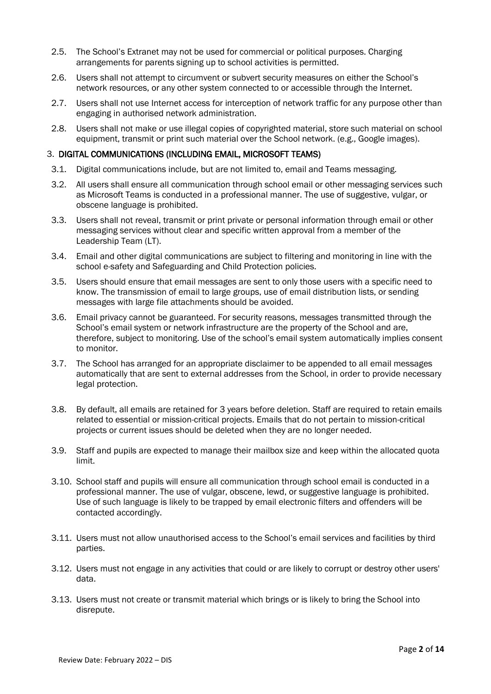- 2.5. The School's Extranet may not be used for commercial or political purposes. Charging arrangements for parents signing up to school activities is permitted.
- 2.6. Users shall not attempt to circumvent or subvert security measures on either the School's network resources, or any other system connected to or accessible through the Internet.
- 2.7. Users shall not use Internet access for interception of network traffic for any purpose other than engaging in authorised network administration.
- 2.8. Users shall not make or use illegal copies of copyrighted material, store such material on school equipment, transmit or print such material over the School network. (e.g., Google images).

#### 3. DIGITAL COMMUNICATIONS (INCLUDING EMAIL, MICROSOFT TEAMS)

- 3.1. Digital communications include, but are not limited to, email and Teams messaging.
- 3.2. All users shall ensure all communication through school email or other messaging services such as Microsoft Teams is conducted in a professional manner. The use of suggestive, vulgar, or obscene language is prohibited.
- 3.3. Users shall not reveal, transmit or print private or personal information through email or other messaging services without clear and specific written approval from a member of the Leadership Team (LT).
- 3.4. Email and other digital communications are subject to filtering and monitoring in line with the school e-safety and Safeguarding and Child Protection policies.
- 3.5. Users should ensure that email messages are sent to only those users with a specific need to know. The transmission of email to large groups, use of email distribution lists, or sending messages with large file attachments should be avoided.
- 3.6. Email privacy cannot be guaranteed. For security reasons, messages transmitted through the School's email system or network infrastructure are the property of the School and are, therefore, subject to monitoring. Use of the school's email system automatically implies consent to monitor.
- 3.7. The School has arranged for an appropriate disclaimer to be appended to all email messages automatically that are sent to external addresses from the School, in order to provide necessary legal protection.
- 3.8. By default, all emails are retained for 3 years before deletion. Staff are required to retain emails related to essential or mission-critical projects. Emails that do not pertain to mission-critical projects or current issues should be deleted when they are no longer needed.
- 3.9. Staff and pupils are expected to manage their mailbox size and keep within the allocated quota limit.
- 3.10. School staff and pupils will ensure all communication through school email is conducted in a professional manner. The use of vulgar, obscene, lewd, or suggestive language is prohibited. Use of such language is likely to be trapped by email electronic filters and offenders will be contacted accordingly.
- 3.11. Users must not allow unauthorised access to the School's email services and facilities by third parties.
- 3.12. Users must not engage in any activities that could or are likely to corrupt or destroy other users' data.
- 3.13. Users must not create or transmit material which brings or is likely to bring the School into disrepute.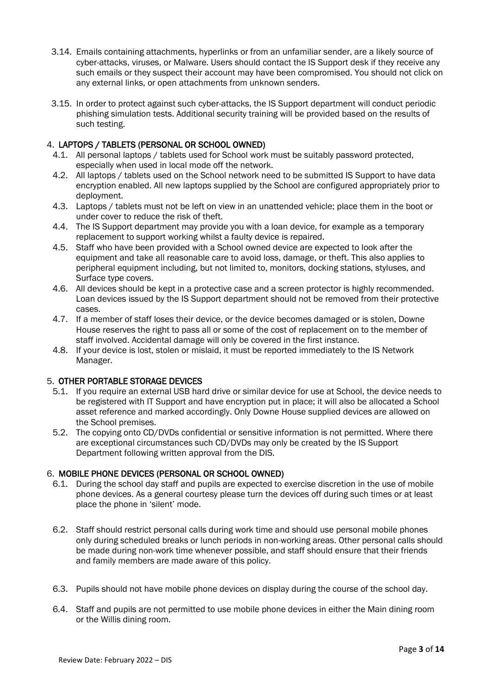- 3.14. Emails containing attachments, hyperlinks or from an unfamiliar sender, are a likely source of cyber-attacks, viruses, or Malware. Users should contact the IS Support desk if they receive any such emails or they suspect their account may have been compromised. You should not click on any external links, or open attachments from unknown senders.
- 3.15. In order to protect against such cyber-attacks, the IS Support department will conduct periodic phishing simulation tests. Additional security training will be provided based on the results of such testing.

#### 4. LAPTOPS / TABLETS (PERSONAL OR SCHOOL OWNED)

- 4.1. All personal laptops / tablets used for School work must be suitably password protected, especially when used in local mode off the network.
- 4.2. All laptops / tablets used on the School network need to be submitted IS Support to have data encryption enabled. All new laptops supplied by the School are configured appropriately prior to deployment.
- 4.3. Laptops / tablets must not be left on view in an unattended vehicle; place them in the boot or under cover to reduce the risk of theft.
- 4.4. The IS Support department may provide you with a loan device, for example as a temporary replacement to support working whilst a faulty device is repaired.
- 4.5. Staff who have been provided with a School owned device are expected to look after the equipment and take all reasonable care to avoid loss, damage, or theft. This also applies to peripheral equipment including, but not limited to, monitors, docking stations, styluses, and Surface type covers.
- 4.6. All devices should be kept in a protective case and a screen protector is highly recommended. Loan devices issued by the IS Support department should not be removed from their protective cases.
- 4.7. If a member of staff loses their device, or the device becomes damaged or is stolen, Downe House reserves the right to pass all or some of the cost of replacement on to the member of staff involved. Accidental damage will only be covered in the first instance.
- 4.8. If your device is lost, stolen or mislaid, it must be reported immediately to the IS Network Manager.

#### 5. OTHER PORTABLE STORAGE DEVICES

- 5.1. If you require an external USB hard drive or similar device for use at School, the device needs to be registered with IT Support and have encryption put in place; it will also be allocated a School asset reference and marked accordingly. Only Downe House supplied devices are allowed on the School premises.
- 5.2. The copying onto CD/DVDs confidential or sensitive information is not permitted. Where there are exceptional circumstances such CD/DVDs may only be created by the IS Support Department following written approval from the DIS.

#### 6. MOBILE PHONE DEVICES (PERSONAL OR SCHOOL OWNED)

- 6.1. During the school day staff and pupils are expected to exercise discretion in the use of mobile phone devices. As a general courtesy please turn the devices off during such times or at least place the phone in 'silent' mode.
- 6.2. Staff should restrict personal calls during work time and should use personal mobile phones only during scheduled breaks or lunch periods in non-working areas. Other personal calls should be made during non-work time whenever possible, and staff should ensure that their friends and family members are made aware of this policy.
- 6.3. Pupils should not have mobile phone devices on display during the course of the school day.
- 6.4. Staff and pupils are not permitted to use mobile phone devices in either the Main dining room or the Willis dining room.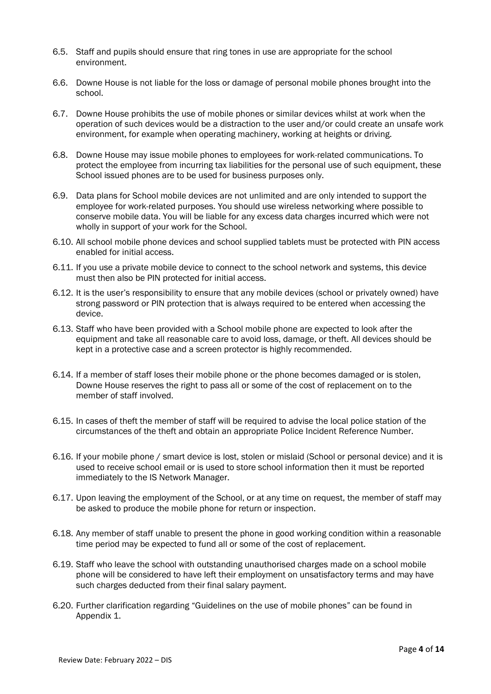- 6.5. Staff and pupils should ensure that ring tones in use are appropriate for the school environment.
- 6.6. Downe House is not liable for the loss or damage of personal mobile phones brought into the school.
- 6.7. Downe House prohibits the use of mobile phones or similar devices whilst at work when the operation of such devices would be a distraction to the user and/or could create an unsafe work environment, for example when operating machinery, working at heights or driving.
- 6.8. Downe House may issue mobile phones to employees for work-related communications. To protect the employee from incurring tax liabilities for the personal use of such equipment, these School issued phones are to be used for business purposes only.
- 6.9. Data plans for School mobile devices are not unlimited and are only intended to support the employee for work-related purposes. You should use wireless networking where possible to conserve mobile data. You will be liable for any excess data charges incurred which were not wholly in support of your work for the School.
- 6.10. All school mobile phone devices and school supplied tablets must be protected with PIN access enabled for initial access.
- 6.11. If you use a private mobile device to connect to the school network and systems, this device must then also be PIN protected for initial access.
- 6.12. It is the user's responsibility to ensure that any mobile devices (school or privately owned) have strong password or PIN protection that is always required to be entered when accessing the device.
- 6.13. Staff who have been provided with a School mobile phone are expected to look after the equipment and take all reasonable care to avoid loss, damage, or theft. All devices should be kept in a protective case and a screen protector is highly recommended.
- 6.14. If a member of staff loses their mobile phone or the phone becomes damaged or is stolen, Downe House reserves the right to pass all or some of the cost of replacement on to the member of staff involved.
- 6.15. In cases of theft the member of staff will be required to advise the local police station of the circumstances of the theft and obtain an appropriate Police Incident Reference Number.
- 6.16. If your mobile phone / smart device is lost, stolen or mislaid (School or personal device) and it is used to receive school email or is used to store school information then it must be reported immediately to the IS Network Manager.
- 6.17. Upon leaving the employment of the School, or at any time on request, the member of staff may be asked to produce the mobile phone for return or inspection.
- 6.18. Any member of staff unable to present the phone in good working condition within a reasonable time period may be expected to fund all or some of the cost of replacement.
- 6.19. Staff who leave the school with outstanding unauthorised charges made on a school mobile phone will be considered to have left their employment on unsatisfactory terms and may have such charges deducted from their final salary payment.
- 6.20. Further clarification regarding "Guidelines on the use of mobile phones" can be found in Appendix 1.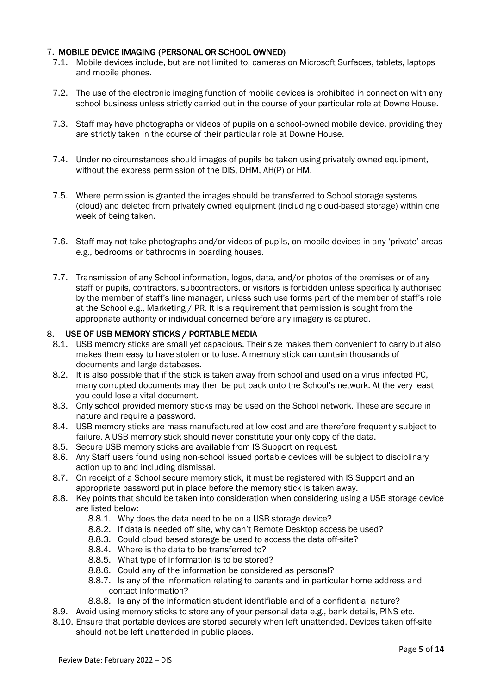#### 7. MOBILE DEVICE IMAGING (PERSONAL OR SCHOOL OWNED)

- 7.1. Mobile devices include, but are not limited to, cameras on Microsoft Surfaces, tablets, laptops and mobile phones.
- 7.2. The use of the electronic imaging function of mobile devices is prohibited in connection with any school business unless strictly carried out in the course of your particular role at Downe House.
- 7.3. Staff may have photographs or videos of pupils on a school-owned mobile device, providing they are strictly taken in the course of their particular role at Downe House.
- 7.4. Under no circumstances should images of pupils be taken using privately owned equipment, without the express permission of the DIS, DHM, AH(P) or HM.
- 7.5. Where permission is granted the images should be transferred to School storage systems (cloud) and deleted from privately owned equipment (including cloud-based storage) within one week of being taken.
- 7.6. Staff may not take photographs and/or videos of pupils, on mobile devices in any 'private' areas e.g., bedrooms or bathrooms in boarding houses.
- 7.7. Transmission of any School information, logos, data, and/or photos of the premises or of any staff or pupils, contractors, subcontractors, or visitors is forbidden unless specifically authorised by the member of staff's line manager, unless such use forms part of the member of staff's role at the School e.g., Marketing / PR. It is a requirement that permission is sought from the appropriate authority or individual concerned before any imagery is captured.

#### 8. USE OF USB MEMORY STICKS / PORTABLE MEDIA

- 8.1. USB memory sticks are small yet capacious. Their size makes them convenient to carry but also makes them easy to have stolen or to lose. A memory stick can contain thousands of documents and large databases.
- 8.2. It is also possible that if the stick is taken away from school and used on a virus infected PC, many corrupted documents may then be put back onto the School's network. At the very least you could lose a vital document.
- 8.3. Only school provided memory sticks may be used on the School network. These are secure in nature and require a password.
- 8.4. USB memory sticks are mass manufactured at low cost and are therefore frequently subject to failure. A USB memory stick should never constitute your only copy of the data.
- 8.5. Secure USB memory sticks are available from IS Support on request.
- 8.6. Any Staff users found using non-school issued portable devices will be subject to disciplinary action up to and including dismissal.
- 8.7. On receipt of a School secure memory stick, it must be registered with IS Support and an appropriate password put in place before the memory stick is taken away.
- 8.8. Key points that should be taken into consideration when considering using a USB storage device are listed below:
	- 8.8.1. Why does the data need to be on a USB storage device?
	- 8.8.2. If data is needed off site, why can't Remote Desktop access be used?
	- 8.8.3. Could cloud based storage be used to access the data off-site?
	- 8.8.4. Where is the data to be transferred to?
	- 8.8.5. What type of information is to be stored?
	- 8.8.6. Could any of the information be considered as personal?
	- 8.8.7. Is any of the information relating to parents and in particular home address and contact information?
	- 8.8.8. Is any of the information student identifiable and of a confidential nature?
- 8.9. Avoid using memory sticks to store any of your personal data e.g., bank details, PINS etc.
- 8.10. Ensure that portable devices are stored securely when left unattended. Devices taken off-site should not be left unattended in public places.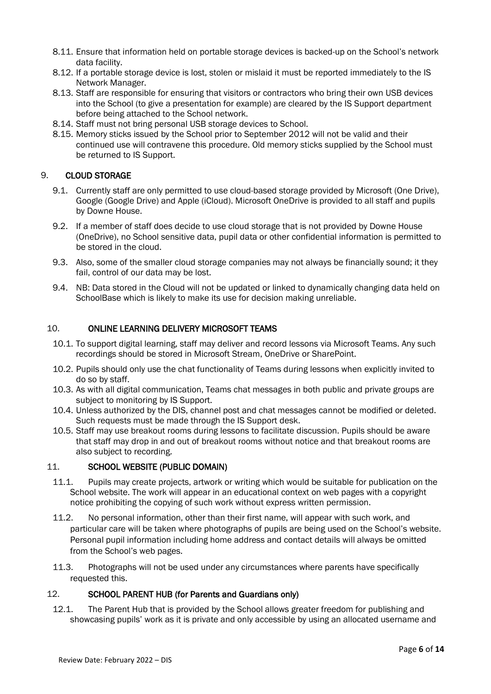- 8.11. Ensure that information held on portable storage devices is backed-up on the School's network data facility.
- 8.12. If a portable storage device is lost, stolen or mislaid it must be reported immediately to the IS Network Manager.
- 8.13. Staff are responsible for ensuring that visitors or contractors who bring their own USB devices into the School (to give a presentation for example) are cleared by the IS Support department before being attached to the School network.
- 8.14. Staff must not bring personal USB storage devices to School.
- 8.15. Memory sticks issued by the School prior to September 2012 will not be valid and their continued use will contravene this procedure. Old memory sticks supplied by the School must be returned to IS Support.

#### 9. CLOUD STORAGE

- 9.1. Currently staff are only permitted to use cloud-based storage provided by Microsoft (One Drive), Google (Google Drive) and Apple (iCloud). Microsoft OneDrive is provided to all staff and pupils by Downe House.
- 9.2. If a member of staff does decide to use cloud storage that is not provided by Downe House (OneDrive), no School sensitive data, pupil data or other confidential information is permitted to be stored in the cloud.
- 9.3. Also, some of the smaller cloud storage companies may not always be financially sound; it they fail, control of our data may be lost.
- 9.4. NB: Data stored in the Cloud will not be updated or linked to dynamically changing data held on SchoolBase which is likely to make its use for decision making unreliable.

#### 10. ONLINE LEARNING DELIVERY MICROSOFT TEAMS

- 10.1. To support digital learning, staff may deliver and record lessons via Microsoft Teams. Any such recordings should be stored in Microsoft Stream, OneDrive or SharePoint.
- 10.2. Pupils should only use the chat functionality of Teams during lessons when explicitly invited to do so by staff.
- 10.3. As with all digital communication, Teams chat messages in both public and private groups are subject to monitoring by IS Support.
- 10.4. Unless authorized by the DIS, channel post and chat messages cannot be modified or deleted. Such requests must be made through the IS Support desk.
- 10.5. Staff may use breakout rooms during lessons to facilitate discussion. Pupils should be aware that staff may drop in and out of breakout rooms without notice and that breakout rooms are also subject to recording.

#### 11. SCHOOL WEBSITE (PUBLIC DOMAIN)

- 11.1. Pupils may create projects, artwork or writing which would be suitable for publication on the School website. The work will appear in an educational context on web pages with a copyright notice prohibiting the copying of such work without express written permission.
- 11.2. No personal information, other than their first name, will appear with such work, and particular care will be taken where photographs of pupils are being used on the School's website. Personal pupil information including home address and contact details will always be omitted from the School's web pages.
- 11.3. Photographs will not be used under any circumstances where parents have specifically requested this.

#### 12. SCHOOL PARENT HUB (for Parents and Guardians only)

12.1. The Parent Hub that is provided by the School allows greater freedom for publishing and showcasing pupils' work as it is private and only accessible by using an allocated username and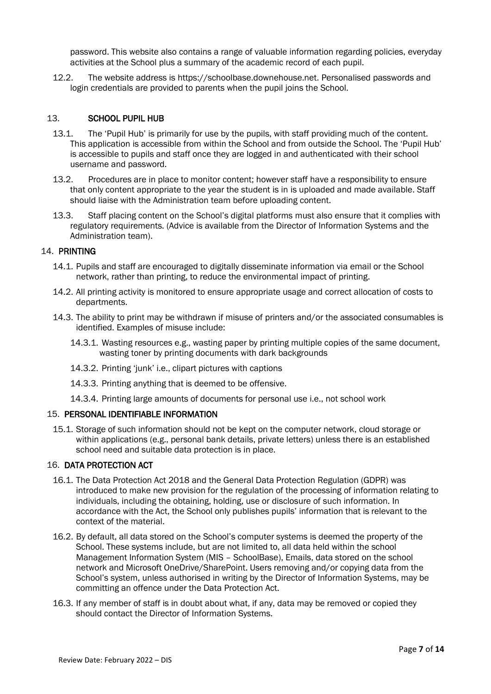password. This website also contains a range of valuable information regarding policies, everyday activities at the School plus a summary of the academic record of each pupil.

12.2. The website address is https://schoolbase.downehouse.net. Personalised passwords and login credentials are provided to parents when the pupil joins the School.

#### 13. SCHOOL PUPIL HUB

- 13.1. The 'Pupil Hub' is primarily for use by the pupils, with staff providing much of the content. This application is accessible from within the School and from outside the School. The 'Pupil Hub' is accessible to pupils and staff once they are logged in and authenticated with their school username and password.
- 13.2. Procedures are in place to monitor content; however staff have a responsibility to ensure that only content appropriate to the year the student is in is uploaded and made available. Staff should liaise with the Administration team before uploading content.
- 13.3. Staff placing content on the School's digital platforms must also ensure that it complies with regulatory requirements. (Advice is available from the Director of Information Systems and the Administration team).

#### 14. PRINTING

- 14.1. Pupils and staff are encouraged to digitally disseminate information via email or the School network, rather than printing, to reduce the environmental impact of printing.
- 14.2. All printing activity is monitored to ensure appropriate usage and correct allocation of costs to departments.
- 14.3. The ability to print may be withdrawn if misuse of printers and/or the associated consumables is identified. Examples of misuse include:
	- 14.3.1. Wasting resources e.g., wasting paper by printing multiple copies of the same document, wasting toner by printing documents with dark backgrounds
	- 14.3.2. Printing 'junk' i.e., clipart pictures with captions
	- 14.3.3. Printing anything that is deemed to be offensive.
	- 14.3.4. Printing large amounts of documents for personal use i.e., not school work

#### 15. PERSONAL IDENTIFIABLE INFORMATION

15.1. Storage of such information should not be kept on the computer network, cloud storage or within applications (e.g., personal bank details, private letters) unless there is an established school need and suitable data protection is in place.

#### 16. DATA PROTECTION ACT

- 16.1. The Data Protection Act 2018 and the General Data Protection Regulation (GDPR) was introduced to make new provision for the regulation of the processing of information relating to individuals, including the obtaining, holding, use or disclosure of such information. In accordance with the Act, the School only publishes pupils' information that is relevant to the context of the material.
- 16.2. By default, all data stored on the School's computer systems is deemed the property of the School. These systems include, but are not limited to, all data held within the school Management Information System (MIS – SchoolBase), Emails, data stored on the school network and Microsoft OneDrive/SharePoint. Users removing and/or copying data from the School's system, unless authorised in writing by the Director of Information Systems, may be committing an offence under the Data Protection Act.
- 16.3. If any member of staff is in doubt about what, if any, data may be removed or copied they should contact the Director of Information Systems.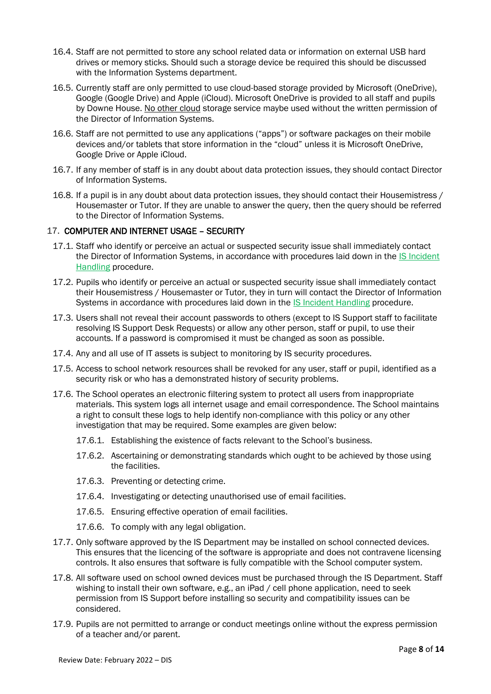- 16.4. Staff are not permitted to store any school related data or information on external USB hard drives or memory sticks. Should such a storage device be required this should be discussed with the Information Systems department.
- 16.5. Currently staff are only permitted to use cloud-based storage provided by Microsoft (OneDrive), Google (Google Drive) and Apple (iCloud). Microsoft OneDrive is provided to all staff and pupils by Downe House. No other cloud storage service maybe used without the written permission of the Director of Information Systems.
- 16.6. Staff are not permitted to use any applications ("apps") or software packages on their mobile devices and/or tablets that store information in the "cloud" unless it is Microsoft OneDrive, Google Drive or Apple iCloud.
- 16.7. If any member of staff is in any doubt about data protection issues, they should contact Director of Information Systems.
- 16.8. If a pupil is in any doubt about data protection issues, they should contact their Housemistress / Housemaster or Tutor. If they are unable to answer the query, then the query should be referred to the Director of Information Systems.

#### 17. COMPUTER AND INTERNET USAGE – SECURITY

- 17.1. Staff who identify or perceive an actual or suspected security issue shall immediately contact the Director of Information Systems, in accordance with procedures laid down in the IS Incident Handling procedure.
- 17.2. Pupils who identify or perceive an actual or suspected security issue shall immediately contact their Housemistress / Housemaster or Tutor, they in turn will contact the Director of Information Systems in accordance with procedures laid down in the IS Incident Handling procedure.
- 17.3. Users shall not reveal their account passwords to others (except to IS Support staff to facilitate resolving IS Support Desk Requests) or allow any other person, staff or pupil, to use their accounts. If a password is compromised it must be changed as soon as possible.
- 17.4. Any and all use of IT assets is subject to monitoring by IS security procedures.
- 17.5. Access to school network resources shall be revoked for any user, staff or pupil, identified as a security risk or who has a demonstrated history of security problems.
- 17.6. The School operates an electronic filtering system to protect all users from inappropriate materials. This system logs all internet usage and email correspondence. The School maintains a right to consult these logs to help identify non-compliance with this policy or any other investigation that may be required. Some examples are given below:
	- 17.6.1. Establishing the existence of facts relevant to the School's business.
	- 17.6.2. Ascertaining or demonstrating standards which ought to be achieved by those using the facilities.
	- 17.6.3. Preventing or detecting crime.
	- 17.6.4. Investigating or detecting unauthorised use of email facilities.
	- 17.6.5. Ensuring effective operation of email facilities.
	- 17.6.6. To comply with any legal obligation.
- 17.7. Only software approved by the IS Department may be installed on school connected devices. This ensures that the licencing of the software is appropriate and does not contravene licensing controls. It also ensures that software is fully compatible with the School computer system.
- 17.8. All software used on school owned devices must be purchased through the IS Department. Staff wishing to install their own software, e.g., an iPad / cell phone application, need to seek permission from IS Support before installing so security and compatibility issues can be considered.
- 17.9. Pupils are not permitted to arrange or conduct meetings online without the express permission of a teacher and/or parent.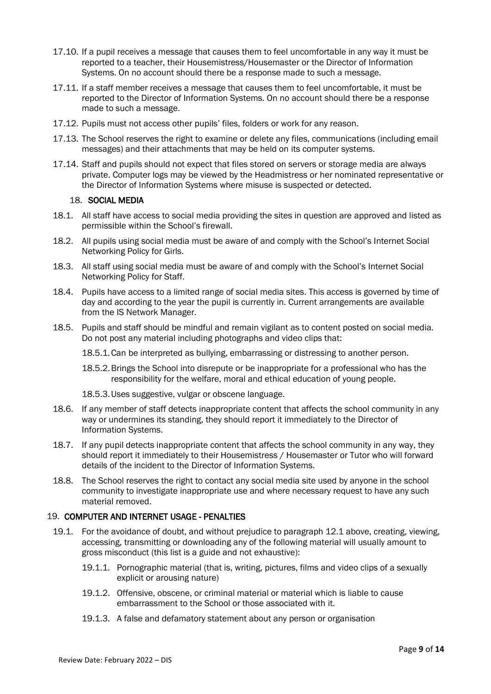- 17.10. If a pupil receives a message that causes them to feel uncomfortable in any way it must be reported to a teacher, their Housemistress/Housemaster or the Director of Information Systems. On no account should there be a response made to such a message.
- 17.11. If a staff member receives a message that causes them to feel uncomfortable, it must be reported to the Director of Information Systems. On no account should there be a response made to such a message.
- 17.12. Pupils must not access other pupils' files, folders or work for any reason.
- 17.13. The School reserves the right to examine or delete any files, communications (including email messages) and their attachments that may be held on its computer systems.
- 17.14. Staff and pupils should not expect that files stored on servers or storage media are always private. Computer logs may be viewed by the Headmistress or her nominated representative or the Director of Information Systems where misuse is suspected or detected.

#### 18. SOCIAL MEDIA

- 18.1. All staff have access to social media providing the sites in question are approved and listed as permissible within the School's firewall.
- 18.2. All pupils using social media must be aware of and comply with the School's Internet Social Networking Policy for Girls.
- 18.3. All staff using social media must be aware of and comply with the School's Internet Social Networking Policy for Staff.
- 18.4. Pupils have access to a limited range of social media sites. This access is governed by time of day and according to the year the pupil is currently in. Current arrangements are available from the IS Network Manager.
- 18.5. Pupils and staff should be mindful and remain vigilant as to content posted on social media. Do not post any material including photographs and video clips that:

18.5.1.Can be interpreted as bullying, embarrassing or distressing to another person.

- 18.5.2.Brings the School into disrepute or be inappropriate for a professional who has the responsibility for the welfare, moral and ethical education of young people.
- 18.5.3.Uses suggestive, vulgar or obscene language.
- 18.6. If any member of staff detects inappropriate content that affects the school community in any way or undermines its standing, they should report it immediately to the Director of Information Systems.
- 18.7. If any pupil detects inappropriate content that affects the school community in any way, they should report it immediately to their Housemistress / Housemaster or Tutor who will forward details of the incident to the Director of Information Systems.
- 18.8. The School reserves the right to contact any social media site used by anyone in the school community to investigate inappropriate use and where necessary request to have any such material removed.

#### 19. COMPUTER AND INTERNET USAGE - PENALTIES

- 19.1. For the avoidance of doubt, and without prejudice to paragraph 12.1 above, creating, viewing, accessing, transmitting or downloading any of the following material will usually amount to gross misconduct (this list is a guide and not exhaustive):
	- 19.1.1. Pornographic material (that is, writing, pictures, films and video clips of a sexually explicit or arousing nature)
	- 19.1.2. Offensive, obscene, or criminal material or material which is liable to cause embarrassment to the School or those associated with it.
	- 19.1.3. A false and defamatory statement about any person or organisation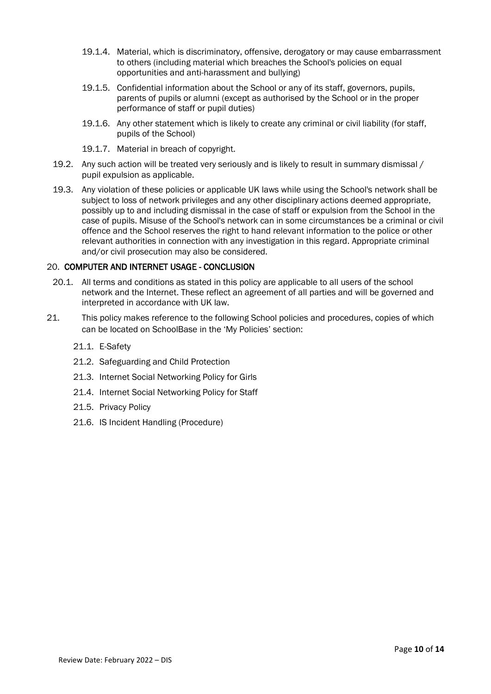- 19.1.4. Material, which is discriminatory, offensive, derogatory or may cause embarrassment to others (including material which breaches the School's policies on equal opportunities and anti-harassment and bullying)
- 19.1.5. Confidential information about the School or any of its staff, governors, pupils, parents of pupils or alumni (except as authorised by the School or in the proper performance of staff or pupil duties)
- 19.1.6. Any other statement which is likely to create any criminal or civil liability (for staff, pupils of the School)
- 19.1.7. Material in breach of copyright.
- 19.2. Any such action will be treated very seriously and is likely to result in summary dismissal / pupil expulsion as applicable.
- 19.3. Any violation of these policies or applicable UK laws while using the School's network shall be subject to loss of network privileges and any other disciplinary actions deemed appropriate, possibly up to and including dismissal in the case of staff or expulsion from the School in the case of pupils. Misuse of the School's network can in some circumstances be a criminal or civil offence and the School reserves the right to hand relevant information to the police or other relevant authorities in connection with any investigation in this regard. Appropriate criminal and/or civil prosecution may also be considered.

#### 20. COMPUTER AND INTERNET USAGE - CONCLUSION

- 20.1. All terms and conditions as stated in this policy are applicable to all users of the school network and the Internet. These reflect an agreement of all parties and will be governed and interpreted in accordance with UK law.
- 21. This policy makes reference to the following School policies and procedures, copies of which can be located on SchoolBase in the 'My Policies' section:
	- 21.1. E-Safety
	- 21.2. Safeguarding and Child Protection
	- 21.3. Internet Social Networking Policy for Girls
	- 21.4. Internet Social Networking Policy for Staff
	- 21.5. Privacy Policy
	- 21.6. IS Incident Handling (Procedure)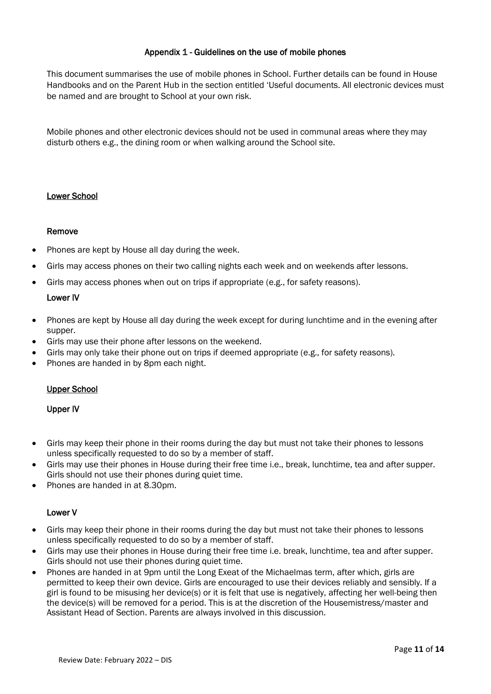#### Appendix 1 - Guidelines on the use of mobile phones

This document summarises the use of mobile phones in School. Further details can be found in House Handbooks and on the Parent Hub in the section entitled 'Useful documents. All electronic devices must be named and are brought to School at your own risk.

Mobile phones and other electronic devices should not be used in communal areas where they may disturb others e.g., the dining room or when walking around the School site.

#### Lower School

#### Remove

- Phones are kept by House all day during the week.
- Girls may access phones on their two calling nights each week and on weekends after lessons.
- Girls may access phones when out on trips if appropriate (e.g., for safety reasons).

#### Lower IV

- Phones are kept by House all day during the week except for during lunchtime and in the evening after supper.
- Girls may use their phone after lessons on the weekend.
- Girls may only take their phone out on trips if deemed appropriate (e.g., for safety reasons).
- Phones are handed in by 8pm each night.

#### Upper School

#### Upper IV

- Girls may keep their phone in their rooms during the day but must not take their phones to lessons unless specifically requested to do so by a member of staff.
- Girls may use their phones in House during their free time i.e., break, lunchtime, tea and after supper. Girls should not use their phones during quiet time.
- Phones are handed in at 8.30pm.

#### Lower V

- Girls may keep their phone in their rooms during the day but must not take their phones to lessons unless specifically requested to do so by a member of staff.
- Girls may use their phones in House during their free time i.e. break, lunchtime, tea and after supper. Girls should not use their phones during quiet time.
- Phones are handed in at 9pm until the Long Exeat of the Michaelmas term, after which, girls are permitted to keep their own device. Girls are encouraged to use their devices reliably and sensibly. If a girl is found to be misusing her device(s) or it is felt that use is negatively, affecting her well-being then the device(s) will be removed for a period. This is at the discretion of the Housemistress/master and Assistant Head of Section. Parents are always involved in this discussion.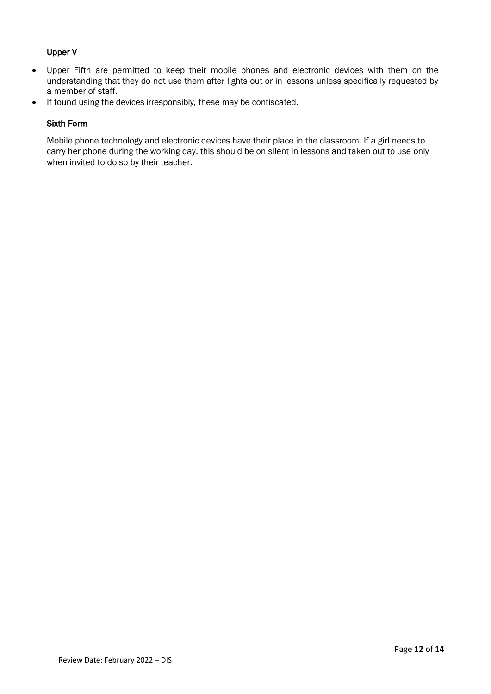#### Upper V

- Upper Fifth are permitted to keep their mobile phones and electronic devices with them on the understanding that they do not use them after lights out or in lessons unless specifically requested by a member of staff.
- If found using the devices irresponsibly, these may be confiscated.

#### Sixth Form

Mobile phone technology and electronic devices have their place in the classroom. If a girl needs to carry her phone during the working day, this should be on silent in lessons and taken out to use only when invited to do so by their teacher.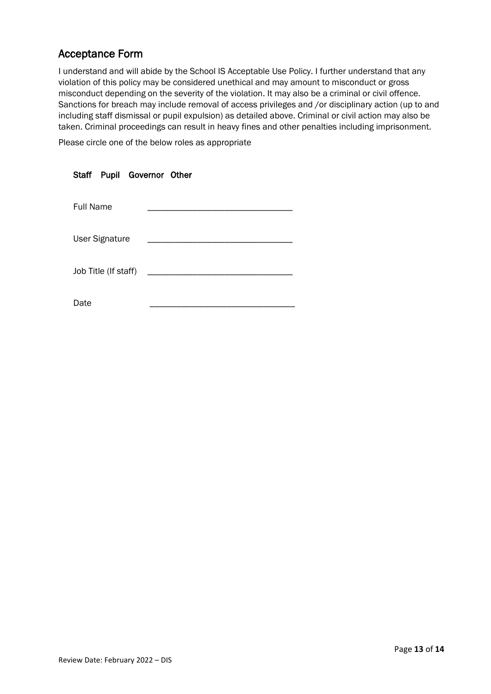#### Acceptance Form

I understand and will abide by the School IS Acceptable Use Policy. I further understand that any violation of this policy may be considered unethical and may amount to misconduct or gross misconduct depending on the severity of the violation. It may also be a criminal or civil offence. Sanctions for breach may include removal of access privileges and /or disciplinary action (up to and including staff dismissal or pupil expulsion) as detailed above. Criminal or civil action may also be taken. Criminal proceedings can result in heavy fines and other penalties including imprisonment.

Please circle one of the below roles as appropriate

|                  |                       | Staff Pupil Governor Other |  |  |
|------------------|-----------------------|----------------------------|--|--|
| <b>Full Name</b> |                       |                            |  |  |
|                  | <b>User Signature</b> |                            |  |  |
|                  | Job Title (If staff)  |                            |  |  |
| Date             |                       |                            |  |  |